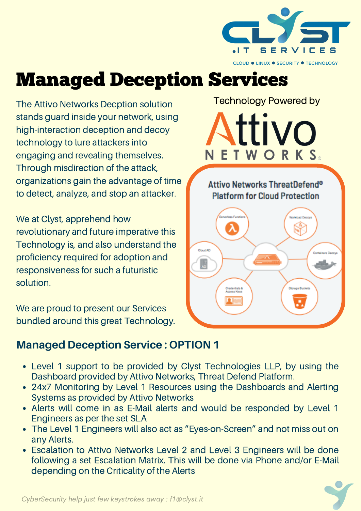

## Managed Deception Services

The Attivo Networks Decption solution stands guard inside your network, using high-interaction deception and decoy technology to lure attackers into engaging and revealing themselves. Through misdirection of the attack, organizations gain the advantage of time to detect, analyze, and stop an attacker.

We at Clyst, apprehend how revolutionary and future imperative this Technology is, and also understand the proficiency required for adoption and responsiveness for such a futuristic solution.

We are proud to present our Services bundled around this great Technology.

# Е ш

Technology Powered by

Attivo Networks ThreatDefend® **Platform for Cloud Protection** 



#### **Managed Deception Service : OPTION 1**

- Level 1 support to be provided by Clyst Technologies LLP, by using the Dashboard provided by Attivo Networks, Threat Defend Platform.
- 24x7 Monitoring by Level 1 Resources using the Dashboards and Alerting Systems as provided by Attivo Networks
- Alerts will come in as E-Mail alerts and would be responded by Level 1 Engineers as per the set SLA
- The Level 1 Engineers will also act as "Eyes-on-Screen" and not miss out on any Alerts.
- Escalation to Attivo Networks Level 2 and Level 3 Engineers will be done following a set Escalation Matrix. This will be done via Phone and/or E-Mail depending on the Criticality of the Alerts